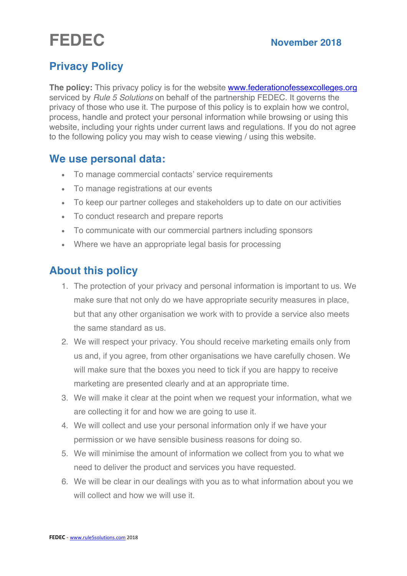# **FEDEC November 2018**

## **Privacy Policy**

**The policy:** This privacy policy is for the website www.federationofessexcolleges.org serviced by *Rule 5 Solutions* on behalf of the partnership FEDEC. It governs the privacy of those who use it. The purpose of this policy is to explain how we control, process, handle and protect your personal information while browsing or using this website, including your rights under current laws and regulations. If you do not agree to the following policy you may wish to cease viewing / using this website.

## **We use personal data:**

- To manage commercial contacts' service requirements
- To manage registrations at our events
- To keep our partner colleges and stakeholders up to date on our activities
- To conduct research and prepare reports
- To communicate with our commercial partners including sponsors
- Where we have an appropriate legal basis for processing

## **About this policy**

- 1. The protection of your privacy and personal information is important to us. We make sure that not only do we have appropriate security measures in place, but that any other organisation we work with to provide a service also meets the same standard as us.
- 2. We will respect your privacy. You should receive marketing emails only from us and, if you agree, from other organisations we have carefully chosen. We will make sure that the boxes you need to tick if you are happy to receive marketing are presented clearly and at an appropriate time.
- 3. We will make it clear at the point when we request your information, what we are collecting it for and how we are going to use it.
- 4. We will collect and use your personal information only if we have your permission or we have sensible business reasons for doing so.
- 5. We will minimise the amount of information we collect from you to what we need to deliver the product and services you have requested.
- 6. We will be clear in our dealings with you as to what information about you we will collect and how we will use it.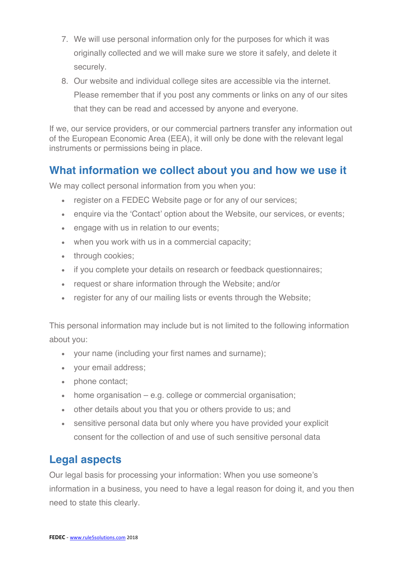- 7. We will use personal information only for the purposes for which it was originally collected and we will make sure we store it safely, and delete it securely.
- 8. Our website and individual college sites are accessible via the internet. Please remember that if you post any comments or links on any of our sites that they can be read and accessed by anyone and everyone.

If we, our service providers, or our commercial partners transfer any information out of the European Economic Area (EEA), it will only be done with the relevant legal instruments or permissions being in place.

## **What information we collect about you and how we use it**

We may collect personal information from you when you:

- register on a FEDEC Website page or for any of our services:
- enquire via the 'Contact' option about the Website, our services, or events;
- engage with us in relation to our events;
- when you work with us in a commercial capacity;
- through cookies;
- if you complete your details on research or feedback questionnaires;
- request or share information through the Website; and/or
- register for any of our mailing lists or events through the Website;

This personal information may include but is not limited to the following information about you:

- your name (including your first names and surname);
- your email address;
- phone contact:
- home organisation e.g. college or commercial organisation;
- other details about you that you or others provide to us; and
- sensitive personal data but only where you have provided your explicit consent for the collection of and use of such sensitive personal data

## **Legal aspects**

Our legal basis for processing your information: When you use someone's information in a business, you need to have a legal reason for doing it, and you then need to state this clearly.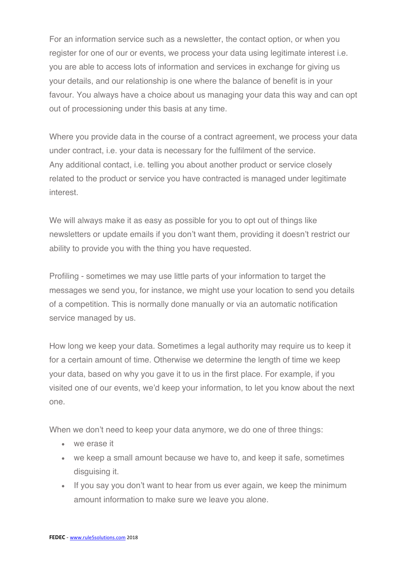For an information service such as a newsletter, the contact option, or when you register for one of our or events, we process your data using legitimate interest i.e. you are able to access lots of information and services in exchange for giving us your details, and our relationship is one where the balance of benefit is in your favour. You always have a choice about us managing your data this way and can opt out of processioning under this basis at any time.

Where you provide data in the course of a contract agreement, we process your data under contract, i.e. your data is necessary for the fulfilment of the service. Any additional contact, i.e. telling you about another product or service closely related to the product or service you have contracted is managed under legitimate interest.

We will always make it as easy as possible for you to opt out of things like newsletters or update emails if you don't want them, providing it doesn't restrict our ability to provide you with the thing you have requested.

Profiling - sometimes we may use little parts of your information to target the messages we send you, for instance, we might use your location to send you details of a competition. This is normally done manually or via an automatic notification service managed by us.

How long we keep your data. Sometimes a legal authority may require us to keep it for a certain amount of time. Otherwise we determine the length of time we keep your data, based on why you gave it to us in the first place. For example, if you visited one of our events, we'd keep your information, to let you know about the next one.

When we don't need to keep your data anymore, we do one of three things:

- we erase it
- we keep a small amount because we have to, and keep it safe, sometimes disguising it.
- If you say you don't want to hear from us ever again, we keep the minimum amount information to make sure we leave you alone.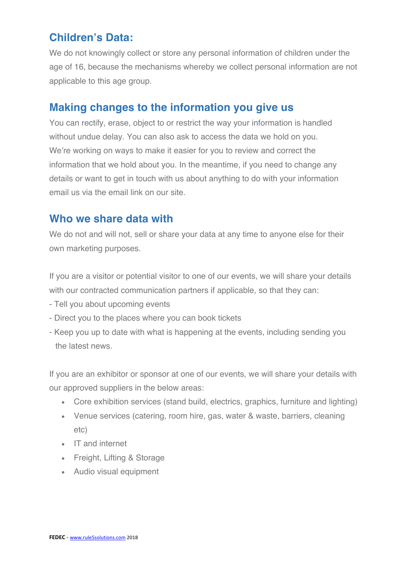## **Children's Data:**

We do not knowingly collect or store any personal information of children under the age of 16, because the mechanisms whereby we collect personal information are not applicable to this age group.

#### **Making changes to the information you give us**

You can rectify, erase, object to or restrict the way your information is handled without undue delay. You can also ask to access the data we hold on you. We're working on ways to make it easier for you to review and correct the information that we hold about you. In the meantime, if you need to change any details or want to get in touch with us about anything to do with your information email us via the email link on our site.

#### **Who we share data with**

We do not and will not, sell or share your data at any time to anyone else for their own marketing purposes.

If you are a visitor or potential visitor to one of our events, we will share your details with our contracted communication partners if applicable, so that they can:

- Tell you about upcoming events
- Direct you to the places where you can book tickets
- Keep you up to date with what is happening at the events, including sending you the latest news.

If you are an exhibitor or sponsor at one of our events, we will share your details with our approved suppliers in the below areas:

- Core exhibition services (stand build, electrics, graphics, furniture and lighting)
- Venue services (catering, room hire, gas, water & waste, barriers, cleaning etc)
- IT and internet
- Freight, Lifting & Storage
- Audio visual equipment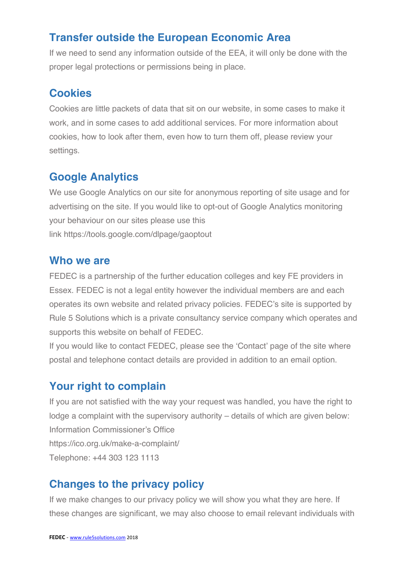## **Transfer outside the European Economic Area**

If we need to send any information outside of the EEA, it will only be done with the proper legal protections or permissions being in place.

## **Cookies**

Cookies are little packets of data that sit on our website, in some cases to make it work, and in some cases to add additional services. For more information about cookies, how to look after them, even how to turn them off, please review your settings.

## **Google Analytics**

We use Google Analytics on our site for anonymous reporting of site usage and for advertising on the site. If you would like to opt-out of Google Analytics monitoring your behaviour on our sites please use this link https://tools.google.com/dlpage/gaoptout

#### **Who we are**

FEDEC is a partnership of the further education colleges and key FE providers in Essex. FEDEC is not a legal entity however the individual members are and each operates its own website and related privacy policies. FEDEC's site is supported by Rule 5 Solutions which is a private consultancy service company which operates and supports this website on behalf of FEDEC.

If you would like to contact FEDEC, please see the 'Contact' page of the site where postal and telephone contact details are provided in addition to an email option.

## **Your right to complain**

If you are not satisfied with the way your request was handled, you have the right to lodge a complaint with the supervisory authority – details of which are given below: Information Commissioner's Office https://ico.org.uk/make-a-complaint/ Telephone: +44 303 123 1113

## **Changes to the privacy policy**

If we make changes to our privacy policy we will show you what they are here. If these changes are significant, we may also choose to email relevant individuals with